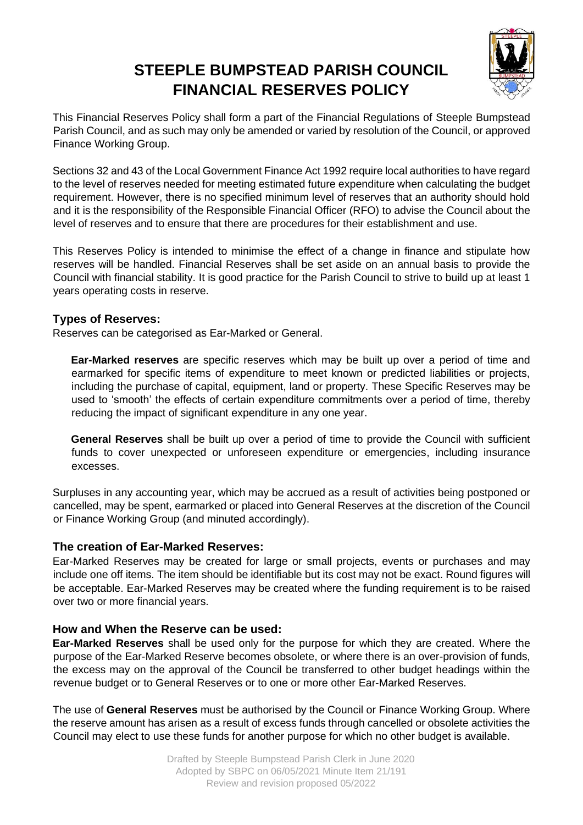# **STEEPLE BUMPSTEAD PARISH COUNCIL FINANCIAL RESERVES POLICY**



This Financial Reserves Policy shall form a part of the Financial Regulations of Steeple Bumpstead Parish Council, and as such may only be amended or varied by resolution of the Council, or approved Finance Working Group.

Sections 32 and 43 of the Local Government Finance Act 1992 require local authorities to have regard to the level of reserves needed for meeting estimated future expenditure when calculating the budget requirement. However, there is no specified minimum level of reserves that an authority should hold and it is the responsibility of the Responsible Financial Officer (RFO) to advise the Council about the level of reserves and to ensure that there are procedures for their establishment and use.

This Reserves Policy is intended to minimise the effect of a change in finance and stipulate how reserves will be handled. Financial Reserves shall be set aside on an annual basis to provide the Council with financial stability. It is good practice for the Parish Council to strive to build up at least 1 years operating costs in reserve.

### **Types of Reserves:**

Reserves can be categorised as Ear-Marked or General.

**Ear-Marked reserves** are specific reserves which may be built up over a period of time and earmarked for specific items of expenditure to meet known or predicted liabilities or projects, including the purchase of capital, equipment, land or property. These Specific Reserves may be used to 'smooth' the effects of certain expenditure commitments over a period of time, thereby reducing the impact of significant expenditure in any one year.

**General Reserves** shall be built up over a period of time to provide the Council with sufficient funds to cover unexpected or unforeseen expenditure or emergencies, including insurance excesses.

Surpluses in any accounting year, which may be accrued as a result of activities being postponed or cancelled, may be spent, earmarked or placed into General Reserves at the discretion of the Council or Finance Working Group (and minuted accordingly).

### **The creation of Ear-Marked Reserves:**

Ear-Marked Reserves may be created for large or small projects, events or purchases and may include one off items. The item should be identifiable but its cost may not be exact. Round figures will be acceptable. Ear-Marked Reserves may be created where the funding requirement is to be raised over two or more financial years.

### **How and When the Reserve can be used:**

**Ear-Marked Reserves** shall be used only for the purpose for which they are created. Where the purpose of the Ear-Marked Reserve becomes obsolete, or where there is an over-provision of funds, the excess may on the approval of the Council be transferred to other budget headings within the revenue budget or to General Reserves or to one or more other Ear-Marked Reserves.

The use of **General Reserves** must be authorised by the Council or Finance Working Group. Where the reserve amount has arisen as a result of excess funds through cancelled or obsolete activities the Council may elect to use these funds for another purpose for which no other budget is available.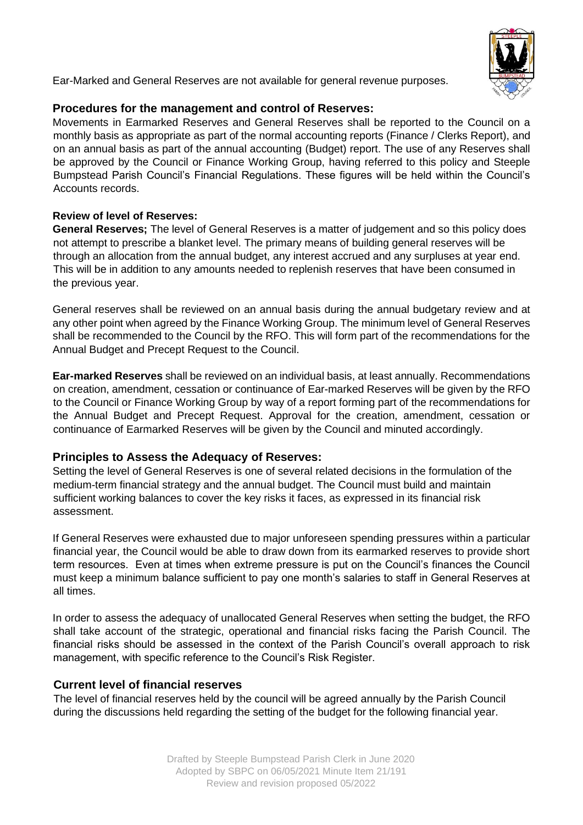

Ear-Marked and General Reserves are not available for general revenue purposes.

## **Procedures for the management and control of Reserves:**

Movements in Earmarked Reserves and General Reserves shall be reported to the Council on a monthly basis as appropriate as part of the normal accounting reports (Finance / Clerks Report), and on an annual basis as part of the annual accounting (Budget) report. The use of any Reserves shall be approved by the Council or Finance Working Group, having referred to this policy and Steeple Bumpstead Parish Council's Financial Regulations. These figures will be held within the Council's Accounts records.

## **Review of level of Reserves:**

**General Reserves;** The level of General Reserves is a matter of judgement and so this policy does not attempt to prescribe a blanket level. The primary means of building general reserves will be through an allocation from the annual budget, any interest accrued and any surpluses at year end. This will be in addition to any amounts needed to replenish reserves that have been consumed in the previous year.

General reserves shall be reviewed on an annual basis during the annual budgetary review and at any other point when agreed by the Finance Working Group. The minimum level of General Reserves shall be recommended to the Council by the RFO. This will form part of the recommendations for the Annual Budget and Precept Request to the Council.

**Ear-marked Reserves** shall be reviewed on an individual basis, at least annually. Recommendations on creation, amendment, cessation or continuance of Ear-marked Reserves will be given by the RFO to the Council or Finance Working Group by way of a report forming part of the recommendations for the Annual Budget and Precept Request. Approval for the creation, amendment, cessation or continuance of Earmarked Reserves will be given by the Council and minuted accordingly.

# **Principles to Assess the Adequacy of Reserves:**

Setting the level of General Reserves is one of several related decisions in the formulation of the medium-term financial strategy and the annual budget. The Council must build and maintain sufficient working balances to cover the key risks it faces, as expressed in its financial risk assessment.

If General Reserves were exhausted due to major unforeseen spending pressures within a particular financial year, the Council would be able to draw down from its earmarked reserves to provide short term resources. Even at times when extreme pressure is put on the Council's finances the Council must keep a minimum balance sufficient to pay one month's salaries to staff in General Reserves at all times.

In order to assess the adequacy of unallocated General Reserves when setting the budget, the RFO shall take account of the strategic, operational and financial risks facing the Parish Council. The financial risks should be assessed in the context of the Parish Council's overall approach to risk management, with specific reference to the Council's Risk Register.

# **Current level of financial reserves**

The level of financial reserves held by the council will be agreed annually by the Parish Council during the discussions held regarding the setting of the budget for the following financial year.